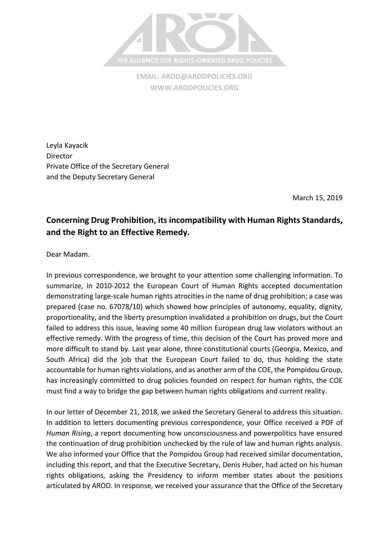

**EMAIL[: AROD@ARODPOLICIES.ORG](mailto:AROD@ARODPOLICIES.ORG) [WWW.ARODPOLICIES.ORG](http://www.arodpolicies.org/)**

Leyla Kayacik **Director** Private Office of the Secretary General and the Deputy Secretary General

March 15, 2019

## **Concerning Drug Prohibition, its incompatibility with Human Rights Standards, and the Right to an Effective Remedy.**

Dear Madam.

In previous correspondence, we brought to your attention some challenging information. To summarize, in 2010-2012 the European Court of Human Rights accepted documentation demonstrating large-scale human rights atrocities in the name of drug prohibition; a case was prepared (case no. 67078/10) which showed how principles of autonomy, equality, dignity, proportionality, and the liberty presumption invalidated a prohibition on drugs, but the Court failed to address this issue, leaving some 40 million European drug law violators without an effective remedy. With the progress of time, this decision of the Court has proved more and more difficult to stand by. Last year alone, three constitutional courts (Georgia, Mexico, and South Africa) did the job that the European Court failed to do, thus holding the state accountable for human rights violations, and as another arm of the COE, the Pompidou Group, has increasingly committed to drug policies founded on respect for human rights, the COE must find a way to bridge the gap between human rights obligations and current reality.

In our letter of December 21, 2018, we asked the Secretary General to address this situation. In addition to letters documenting previous correspondence, your Office received a PDF of *Human Rising*, a report documenting how unconsciousness and powerpolitics have ensured the continuation of drug prohibition unchecked by the rule of law and human rights analysis. We also informed your Office that the Pompidou Group had received similar documentation, including this report, and that the Executive Secretary, Denis Huber, had acted on his human rights obligations, asking the Presidency to inform member states about the positions articulated by AROD. In response, we received your assurance that the Office of the Secretary